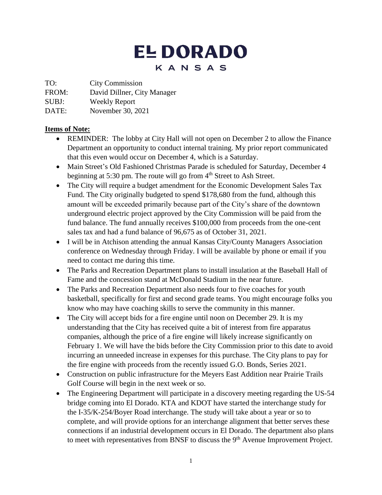# **EL DORADO** KANSAS

TO: City Commission

FROM: David Dillner, City Manager

SUBJ: Weekly Report

DATE: November 30, 2021

# **Items of Note:**

- REMINDER: The lobby at City Hall will not open on December 2 to allow the Finance Department an opportunity to conduct internal training. My prior report communicated that this even would occur on December 4, which is a Saturday.
- Main Street's Old Fashioned Christmas Parade is scheduled for Saturday, December 4 beginning at 5:30 pm. The route will go from 4<sup>th</sup> Street to Ash Street.
- The City will require a budget amendment for the Economic Development Sales Tax Fund. The City originally budgeted to spend \$178,680 from the fund, although this amount will be exceeded primarily because part of the City's share of the downtown underground electric project approved by the City Commission will be paid from the fund balance. The fund annually receives \$100,000 from proceeds from the one-cent sales tax and had a fund balance of 96,675 as of October 31, 2021.
- I will be in Atchison attending the annual Kansas City/County Managers Association conference on Wednesday through Friday. I will be available by phone or email if you need to contact me during this time.
- The Parks and Recreation Department plans to install insulation at the Baseball Hall of Fame and the concession stand at McDonald Stadium in the near future.
- The Parks and Recreation Department also needs four to five coaches for youth basketball, specifically for first and second grade teams. You might encourage folks you know who may have coaching skills to serve the community in this manner.
- The City will accept bids for a fire engine until noon on December 29. It is my understanding that the City has received quite a bit of interest from fire apparatus companies, although the price of a fire engine will likely increase significantly on February 1. We will have the bids before the City Commission prior to this date to avoid incurring an unneeded increase in expenses for this purchase. The City plans to pay for the fire engine with proceeds from the recently issued G.O. Bonds, Series 2021.
- Construction on public infrastructure for the Meyers East Addition near Prairie Trails Golf Course will begin in the next week or so.
- The Engineering Department will participate in a discovery meeting regarding the US-54 bridge coming into El Dorado. KTA and KDOT have started the interchange study for the I-35/K-254/Boyer Road interchange. The study will take about a year or so to complete, and will provide options for an interchange alignment that better serves these connections if an industrial development occurs in El Dorado. The department also plans to meet with representatives from BNSF to discuss the 9<sup>th</sup> Avenue Improvement Project.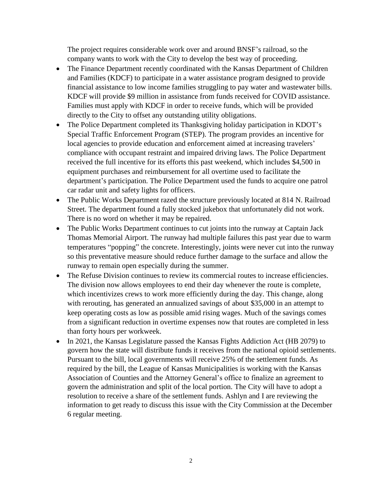The project requires considerable work over and around BNSF's railroad, so the company wants to work with the City to develop the best way of proceeding.

- The Finance Department recently coordinated with the Kansas Department of Children and Families (KDCF) to participate in a water assistance program designed to provide financial assistance to low income families struggling to pay water and wastewater bills. KDCF will provide \$9 million in assistance from funds received for COVID assistance. Families must apply with KDCF in order to receive funds, which will be provided directly to the City to offset any outstanding utility obligations.
- The Police Department completed its Thanksgiving holiday participation in KDOT's Special Traffic Enforcement Program (STEP). The program provides an incentive for local agencies to provide education and enforcement aimed at increasing travelers' compliance with occupant restraint and impaired driving laws. The Police Department received the full incentive for its efforts this past weekend, which includes \$4,500 in equipment purchases and reimbursement for all overtime used to facilitate the department's participation. The Police Department used the funds to acquire one patrol car radar unit and safety lights for officers.
- The Public Works Department razed the structure previously located at 814 N. Railroad Street. The department found a fully stocked jukebox that unfortunately did not work. There is no word on whether it may be repaired.
- The Public Works Department continues to cut joints into the runway at Captain Jack Thomas Memorial Airport. The runway had multiple failures this past year due to warm temperatures "popping" the concrete. Interestingly, joints were never cut into the runway so this preventative measure should reduce further damage to the surface and allow the runway to remain open especially during the summer.
- The Refuse Division continues to review its commercial routes to increase efficiencies. The division now allows employees to end their day whenever the route is complete, which incentivizes crews to work more efficiently during the day. This change, along with rerouting, has generated an annualized savings of about \$35,000 in an attempt to keep operating costs as low as possible amid rising wages. Much of the savings comes from a significant reduction in overtime expenses now that routes are completed in less than forty hours per workweek.
- In 2021, the Kansas Legislature passed the Kansas Fights Addiction Act (HB 2079) to govern how the state will distribute funds it receives from the national opioid settlements. Pursuant to the bill, local governments will receive 25% of the settlement funds. As required by the bill, the League of Kansas Municipalities is working with the Kansas Association of Counties and the Attorney General's office to finalize an agreement to govern the administration and split of the local portion. The City will have to adopt a resolution to receive a share of the settlement funds. Ashlyn and I are reviewing the information to get ready to discuss this issue with the City Commission at the December 6 regular meeting.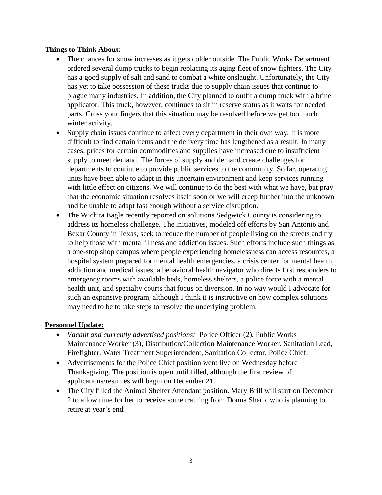### **Things to Think About:**

- The chances for snow increases as it gets colder outside. The Public Works Department ordered several dump trucks to begin replacing its aging fleet of snow fighters. The City has a good supply of salt and sand to combat a white onslaught. Unfortunately, the City has yet to take possession of these trucks due to supply chain issues that continue to plague many industries. In addition, the City planned to outfit a dump truck with a brine applicator. This truck, however, continues to sit in reserve status as it waits for needed parts. Cross your fingers that this situation may be resolved before we get too much winter activity.
- Supply chain issues continue to affect every department in their own way. It is more difficult to find certain items and the delivery time has lengthened as a result. In many cases, prices for certain commodities and supplies have increased due to insufficient supply to meet demand. The forces of supply and demand create challenges for departments to continue to provide public services to the community. So far, operating units have been able to adapt in this uncertain environment and keep services running with little effect on citizens. We will continue to do the best with what we have, but pray that the economic situation resolves itself soon or we will creep further into the unknown and be unable to adapt fast enough without a service disruption.
- The Wichita Eagle recently reported on solutions Sedgwick County is considering to address its homeless challenge. The initiatives, modeled off efforts by San Antonio and Bexar County in Texas, seek to reduce the number of people living on the streets and try to help those with mental illness and addiction issues. Such efforts include such things as a one-stop shop campus where people experiencing homelessness can access resources, a hospital system prepared for mental health emergencies, a crisis center for mental health, addiction and medical issues, a behavioral health navigator who directs first responders to emergency rooms with available beds, homeless shelters, a police force with a mental health unit, and specialty courts that focus on diversion. In no way would I advocate for such an expansive program, although I think it is instructive on how complex solutions may need to be to take steps to resolve the underlying problem.

## **Personnel Update:**

- *Vacant and currently advertised positions:* Police Officer (2), Public Works Maintenance Worker (3), Distribution/Collection Maintenance Worker, Sanitation Lead, Firefighter, Water Treatment Superintendent, Sanitation Collector, Police Chief.
- Advertisements for the Police Chief position went live on Wednesday before Thanksgiving. The position is open until filled, although the first review of applications/resumes will begin on December 21.
- The City filled the Animal Shelter Attendant position. Mary Brill will start on December 2 to allow time for her to receive some training from Donna Sharp, who is planning to retire at year's end.